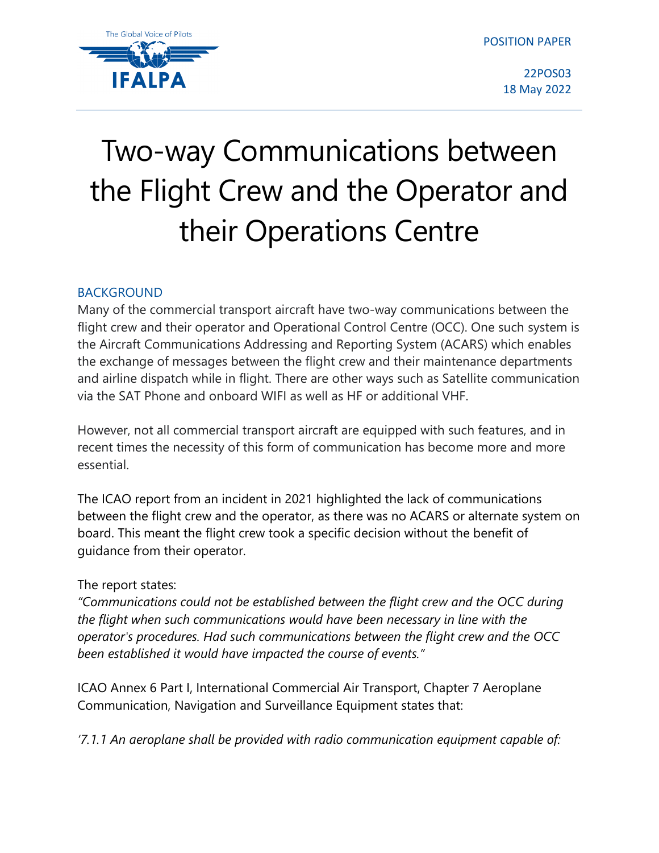

22POS03 18 May 2022

## Two-way Communications between the Flight Crew and the Operator and their Operations Centre

## BACKGROUND

Many of the commercial transport aircraft have two-way communications between the flight crew and their operator and Operational Control Centre (OCC). One such system is the Aircraft Communications Addressing and Reporting System (ACARS) which enables the exchange of messages between the flight crew and their maintenance departments and airline dispatch while in flight. There are other ways such as Satellite communication via the SAT Phone and onboard WIFI as well as HF or additional VHF.

However, not all commercial transport aircraft are equipped with such features, and in recent times the necessity of this form of communication has become more and more essential.

The ICAO report from an incident in 2021 highlighted the lack of communications between the flight crew and the operator, as there was no ACARS or alternate system on board. This meant the flight crew took a specific decision without the benefit of guidance from their operator.

## The report states:

*"Communications could not be established between the flight crew and the OCC during the flight when such communications would have been necessary in line with the operator's procedures. Had such communications between the flight crew and the OCC been established it would have impacted the course of events."*

ICAO Annex 6 Part I, International Commercial Air Transport, Chapter 7 Aeroplane Communication, Navigation and Surveillance Equipment states that:

*'7.1.1 An aeroplane shall be provided with radio communication equipment capable of:*